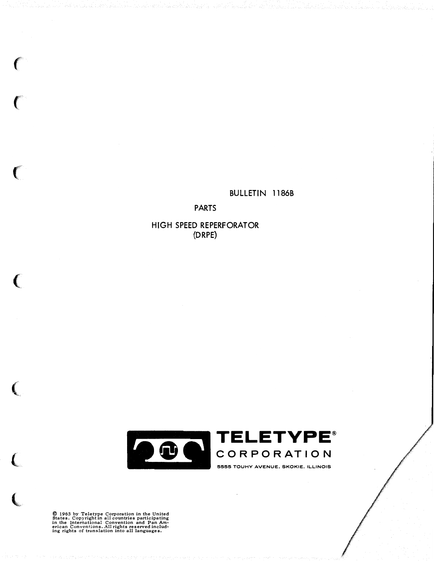BULLETIN 1186B

PARTS

HIGH SPEED REPERFORATOR {DRPE)



© 1963 by Teletype Corporation in the United<br>States. Copyright in all countries participating<br>in the International Convention and Pan Am-<br>erican Conventions. All rights reserved includ-<br>ing rights of translation into all l

(

 $\big($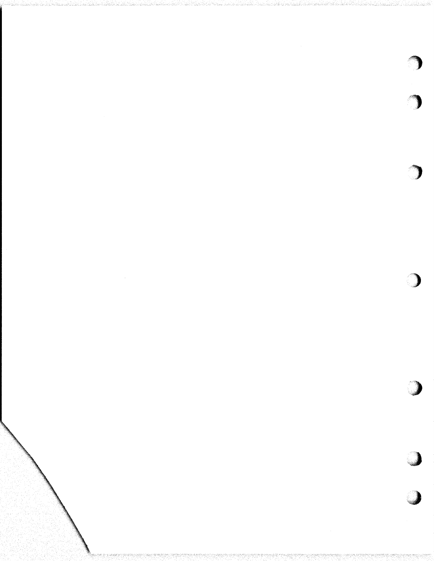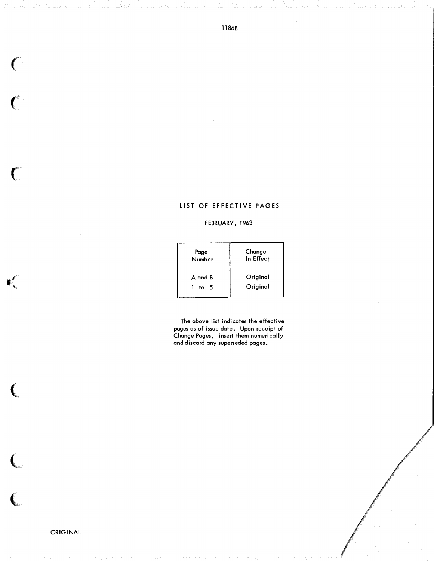## LIST OF EFFECTIVE PAGES

#### FEBRUARY, 1963

| Page    | Change    |
|---------|-----------|
| Number  | In Effect |
| A and B | Original  |
| to 5    | Original  |

The above list indicates the effective pages as of issue date. U pon receipt of Change Pages, insert them numerically and discard any superseded pages.

ORIGINAL

 $\big($ 

 $\big($ 

 $\left($ 

 $\mathbf{I}$ 

 $\big($ 

(

 $\big($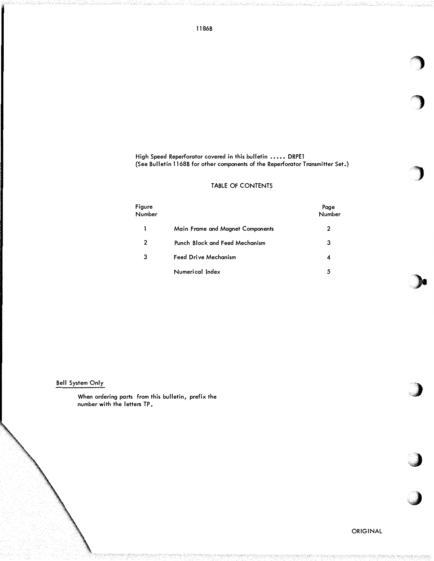High Speed Reperforator covered in this bulletin ..... DRPE1 (See Bulletin 1168B for other components of the Reperforator Transmitter Set.)

#### TABLE OF CONTENTS

| Figure<br>Number |                                  | Page<br>Number |
|------------------|----------------------------------|----------------|
|                  | Main Frame and Magnet Components | 2              |
| 2                | Punch Block and Feed Mechanism   | 3              |
| 3                | <b>Feed Drive Mechanism</b>      | 4              |
|                  | Numerical Index                  | 5              |
|                  |                                  |                |

## Bell System Only

When ordering parts from this bulletin, prefix the number with the letters TP.

## ORIGINAL

*<u>DISPERS</u>* 

····�

.<u>www.community.com</u>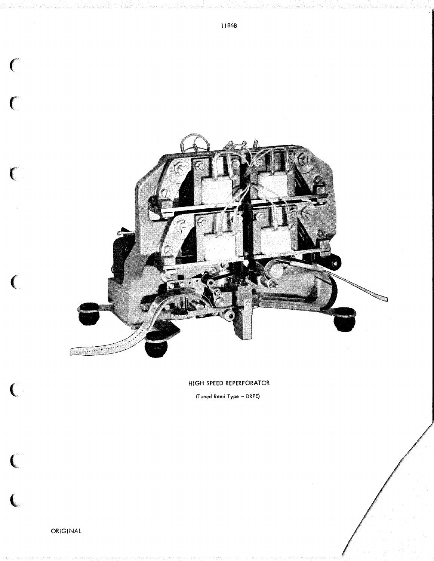

# HIGH SPEED REPERFORATOR

(Tuned Reed Type - DRPE)

ORIGINAL

 $\overline{\mathbb{C}}$ 

 $\overline{\mathbf{C}}$ 

 $\overline{\mathbf{C}}$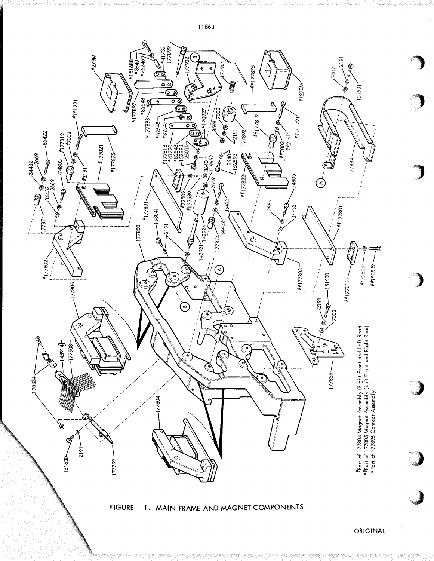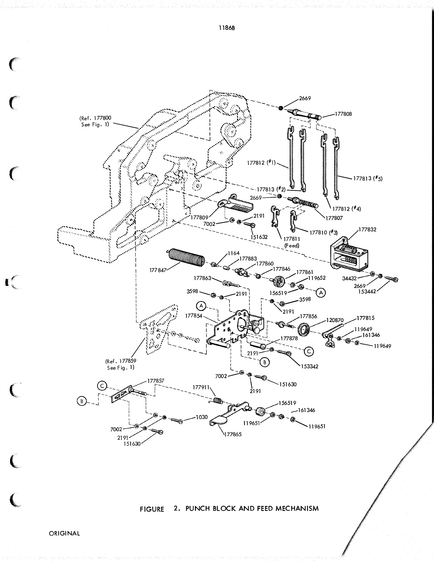



ORIGINAL

 $\overline{C}$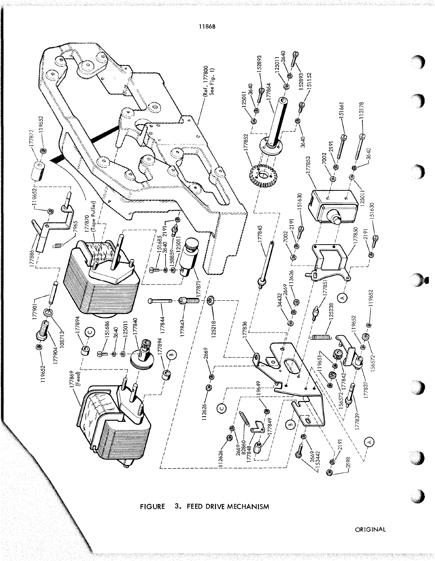

1186B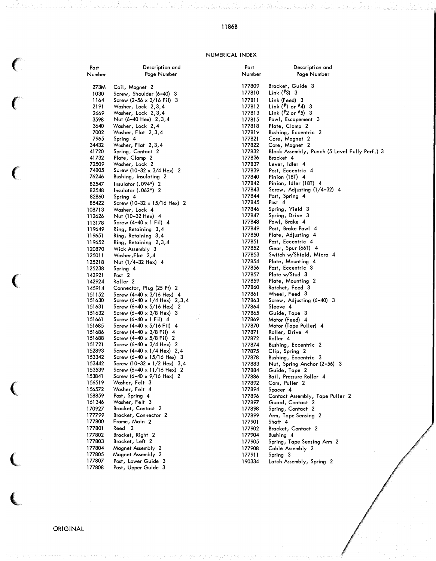# 11868

#### NUMERICAL INDEX

|                                                                                                                                                                                  | Description and                                                                                                                                                                                                                                                                                                                                                                                                                                                         |
|----------------------------------------------------------------------------------------------------------------------------------------------------------------------------------|-------------------------------------------------------------------------------------------------------------------------------------------------------------------------------------------------------------------------------------------------------------------------------------------------------------------------------------------------------------------------------------------------------------------------------------------------------------------------|
| Number                                                                                                                                                                           |                                                                                                                                                                                                                                                                                                                                                                                                                                                                         |
| Part<br>273M<br>1030<br>1164<br>2191<br>2669<br>3598<br>3640<br>7002<br>7965<br>34432<br>41720<br>41732<br>72509<br>74805<br>76246<br>82547<br>82548<br>82860<br>85422<br>108713 | Page Number<br>Coil, Magnet 2<br>Screw, Shoulder (6-40)<br>3<br>Screw (2-56 x 3/16 Fil) 3<br>Washer, Lock 2,3,4<br>Washer, Lock 2,3,4<br>Nut (6-40 Hex) 2, 3, 4<br>Washer, Lock 2,4<br>Washer, Flat 2,3,4<br>Spring 4<br>Washer, Flat 2,3,4<br>Spring, Contact 2<br>Plate, Clamp 2<br>Washer, Lock 2<br>Screw (10–32 x 3/4 Hex) 2<br>Bushing, Insulating 2<br>Insulator (.094'')<br>Insulator (.062")<br>2<br>Spring 4<br>Screw (10-32 x 15/16 Hex) 2<br>Washer, Lock 4 |
| 112626                                                                                                                                                                           | Nut (10-32 Hex) 4                                                                                                                                                                                                                                                                                                                                                                                                                                                       |
| 113178                                                                                                                                                                           | Screw (4–40 x 1 Fil) 4                                                                                                                                                                                                                                                                                                                                                                                                                                                  |
| 119649                                                                                                                                                                           | Ring, Retaining 3,4                                                                                                                                                                                                                                                                                                                                                                                                                                                     |
| 119651                                                                                                                                                                           |                                                                                                                                                                                                                                                                                                                                                                                                                                                                         |
| 119652                                                                                                                                                                           | Ring, Retaining 3,4<br>Ring, Retaining 2,3,4                                                                                                                                                                                                                                                                                                                                                                                                                            |
| 120870                                                                                                                                                                           | Wick Assembly 3                                                                                                                                                                                                                                                                                                                                                                                                                                                         |
| 125011                                                                                                                                                                           | Washer,Flat 2,4                                                                                                                                                                                                                                                                                                                                                                                                                                                         |
| 125218<br>125238                                                                                                                                                                 | Nut (1/4-32 Hex) 4<br>Spring 4                                                                                                                                                                                                                                                                                                                                                                                                                                          |
| 142921                                                                                                                                                                           | Post <sub>2</sub>                                                                                                                                                                                                                                                                                                                                                                                                                                                       |
| 142924                                                                                                                                                                           | Roller 2                                                                                                                                                                                                                                                                                                                                                                                                                                                                |
| 145914                                                                                                                                                                           | Connector, Plug (25 Pt) 2                                                                                                                                                                                                                                                                                                                                                                                                                                               |
| 151152                                                                                                                                                                           | Screw (4–40 × 3/16 Hex)<br>4<br>Screw (6–40 x 1/4 Hex) $2,3,4$                                                                                                                                                                                                                                                                                                                                                                                                          |
| 151630<br>151631                                                                                                                                                                 | Screw (6–40 x 5/16 Hex)<br>2                                                                                                                                                                                                                                                                                                                                                                                                                                            |
| 151632                                                                                                                                                                           | Screw (6-40 $\times$ 3/8 Hex)<br>з                                                                                                                                                                                                                                                                                                                                                                                                                                      |
| 151661                                                                                                                                                                           | Screw (6–40 x 1 Fil) 4                                                                                                                                                                                                                                                                                                                                                                                                                                                  |
| 151685                                                                                                                                                                           | Screw (4–40 x 5/16 Fil) 4                                                                                                                                                                                                                                                                                                                                                                                                                                               |
| 151686<br>151688                                                                                                                                                                 | Screw (4–40 × 3/8 Fil)<br>4<br>Screw (4–40 × 5/8 Fil)<br>2                                                                                                                                                                                                                                                                                                                                                                                                              |
| 151721                                                                                                                                                                           | Screw (6–40 x 3/4 Hex)<br>2                                                                                                                                                                                                                                                                                                                                                                                                                                             |
| 152893                                                                                                                                                                           | Screw (4–40 x 1/4 Hex)<br>2,4                                                                                                                                                                                                                                                                                                                                                                                                                                           |
| 153342                                                                                                                                                                           | Screw (6–40 x 15/16 Hex)<br>3                                                                                                                                                                                                                                                                                                                                                                                                                                           |
| 153442                                                                                                                                                                           | Screw (10–32 x 1/2 Hex)<br>3,4                                                                                                                                                                                                                                                                                                                                                                                                                                          |
| 153539<br>153841                                                                                                                                                                 | Screw $(6-40 \times 11/16$ Hex)<br>2<br>Screw (6-40 x 9/16 Hex) 2                                                                                                                                                                                                                                                                                                                                                                                                       |
| 156519                                                                                                                                                                           | Washer, Felt 3                                                                                                                                                                                                                                                                                                                                                                                                                                                          |
| 156572                                                                                                                                                                           | Washer, Felt 4                                                                                                                                                                                                                                                                                                                                                                                                                                                          |
| 158859                                                                                                                                                                           | Post, Spring<br>4                                                                                                                                                                                                                                                                                                                                                                                                                                                       |
| 161346                                                                                                                                                                           | Washer, Felt 3                                                                                                                                                                                                                                                                                                                                                                                                                                                          |
| 170927                                                                                                                                                                           | Bracket, Contact 2                                                                                                                                                                                                                                                                                                                                                                                                                                                      |
| 177799<br>177800                                                                                                                                                                 | Bracket, Connector 2<br>Frame, Main 2                                                                                                                                                                                                                                                                                                                                                                                                                                   |
| 177801                                                                                                                                                                           | Reed<br>2                                                                                                                                                                                                                                                                                                                                                                                                                                                               |
| 177802                                                                                                                                                                           | Bracket, Right 2                                                                                                                                                                                                                                                                                                                                                                                                                                                        |
| 177803                                                                                                                                                                           | Bracket, Left 2                                                                                                                                                                                                                                                                                                                                                                                                                                                         |
| 177804                                                                                                                                                                           | Magnet Assembly<br>2                                                                                                                                                                                                                                                                                                                                                                                                                                                    |
| 177805                                                                                                                                                                           | Magnet Assembly<br>2                                                                                                                                                                                                                                                                                                                                                                                                                                                    |
| 177807                                                                                                                                                                           | Post, Lower Guide 3                                                                                                                                                                                                                                                                                                                                                                                                                                                     |
| 177808                                                                                                                                                                           | Post, Upper Guide<br>з                                                                                                                                                                                                                                                                                                                                                                                                                                                  |

| Part<br>Number   | Description and<br>Page Number                |
|------------------|-----------------------------------------------|
|                  |                                               |
| 177809           | Bracket, Guide<br>з                           |
| 177810           | Link $(*3)$ 3                                 |
| 177811           | Link (Feed)<br>3                              |
| 177812           | Link $(*1$ or $*4)$ 3                         |
| 177813           | Link $(*2 \text{ or } **5)$ 3                 |
| 177815           | Pawl, Escapement 3                            |
| 177818<br>177819 | Plate, Clamp 2                                |
| 177821           | Bushing, Eccentric 2<br>Core, Magnet 2        |
| 177822           | Core, Magnet 2                                |
| 177832           | Block Assembly, Punch (5 Level Fully Perf.) 3 |
| 177836           | Bracket 4                                     |
| 177837           | Lever, Idler 4                                |
| 177839           | Post, Eccentric<br>- 4                        |
| 177840           | Pinion (18T) 4                                |
| 177842           | Pinion, Idler (18T) 4                         |
| 177843           | Screw, Adjusting (1/4-32) 4                   |
| 177844           | Post, Spring 4                                |
| 177845           | Post 4                                        |
| 177846           | Spring, Yield 3                               |
| 177847           | Spring, Drive 3                               |
| 177848<br>177849 | Pawl, Brake 4<br>Post, Brake Pawl 4           |
| 177850           | Plate, Adjusting<br>4                         |
| 177851           | Post, Eccentric 4                             |
| 177852           | Gear, Spur (66T) 4                            |
| 177853           | Switch w/Shield, Micro 4                      |
| 177854           | Plate, Mounting 4                             |
| 177856           | Post, Eccentric<br>- 3                        |
| 177857           | Plate w/Stud 3                                |
| 177859           | Plate, Mounting 2                             |
| 177860           | Ratchet, Feed 3                               |
| 177861           | Wheel, Feed 3                                 |
| 177863           | Screw, Adjusting (6-40) 3                     |
| 177864           | Sleeve 4                                      |
| 177865           | Guide, Tape<br>3                              |
| 177869           | Motor (Feed) 4                                |
| 177870           | Motor (Tape Puller) 4                         |
| 177871<br>177872 | Roller, Drive 4<br>Roller <sub>4</sub>        |
| 177874           | Bushing, Eccentric 2                          |
| 177875           | Clip, Spring 2                                |
| 177878           | Bushing, Eccentric 3                          |
| 177883           | Nut, Spring Anchor (2–56) 3                   |
| 177884           | Guide, Tape 2                                 |
| 177886           | Bail, Pressure Roller 4                       |
| 177892           | Cam, Puller 2                                 |
| 177894           | Spacer 4                                      |
| 177896           | Contact Assembly, Tape Puller 2               |
| 177897           | Guard, Contact 2                              |
| 177898           | Spring, Contact<br>2                          |
| 177899           | Arm, Tape Sensing 2                           |
| 177901           | Shaft 4<br>Bracket, Contact 2                 |
| 177902<br>177904 | Bushing 4                                     |
| 177905           | Spring, Tape Sensing Arm 2                    |
| 177908           | Cable Assembly 2                              |
| 177911           | 3<br>Spring                                   |
| 190334           | Latch Assembly, Spring 2                      |

ORIGINAL

 $\big($ 

 $\epsilon$ 

(

 $\left($ 

 $\ell$ 

 $\big($ 

 $\epsilon$